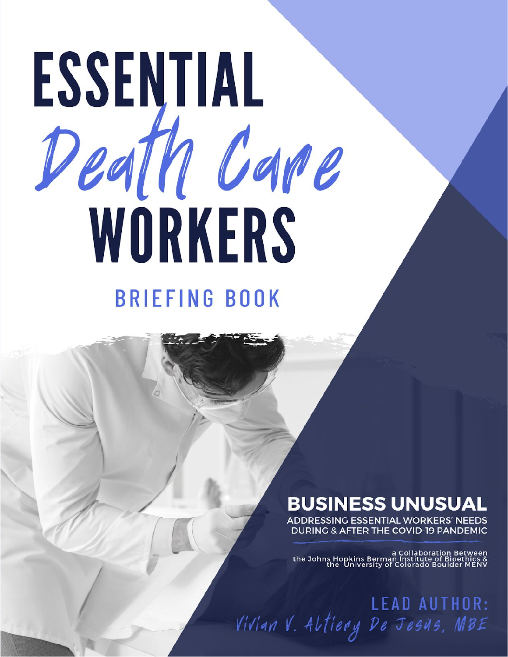# ESSENTIAL Death Care WORKERS **BRIEFING BOOK**

## **BUSINESS UNUSUAL**

ADDRESSING ESSENTIAL WORKERS' NEEDS **DURING & AFTER THE COVID-19 PANDEMIC** 

a Collaboration Between<br>& a Collaboration Between<br>the University of Colorado Boulder MENV<br>MENV the University of Colorado Boulder

LEAD AUTHOR:<br>Vivian V. Altiery De Jesus, MBE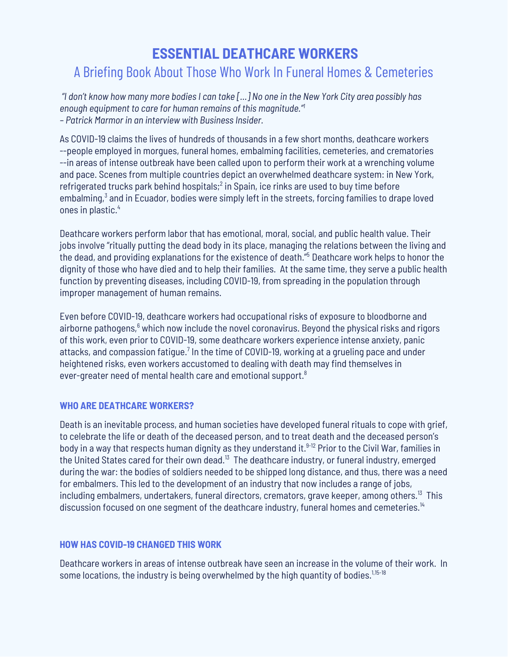### **ESSENTIAL DEATHCARE WORKERS** A Briefing Book About Those Who Work In Funeral Homes & Cemeteries

"I don't know how many more bodies I can take [...] No one in the New York City area possibly has *enough equipment to care for human remains of this magnitude." 1 – Patrick Marmor in an interview with Business Insider.*

As COVID-19 claims the lives of hundreds of thousands in a few short months, deathcare workers --people employed in morgues, funeral homes, embalming facilities, cemeteries, and crematories --in areas of intense outbreak have been called upon to perform their work at a wrenching volume and pace. Scenes from multiple countries depict an overwhelmed deathcare system: in New York, refrigerated trucks park behind hospitals;<sup>2</sup> in Spain, ice rinks are used to buy time before embalming, $3$  and in Ecuador, bodies were simply left in the streets, forcing families to drape loved ones in plastic. 4

Deathcare workers perform labor that has emotional, moral, social, and public health value. Their jobs involve "ritually putting the dead body in its place, managing the relations between the living and the dead, and providing explanations for the existence of death." <sup>5</sup> Deathcare work helps to honor the dignity of those who have died and to help their families. At the same time, they serve a public health function by preventing diseases, including COVID-19, from spreading in the population through improper management of human remains.

Even before COVID-19, deathcare workers had occupational risks of exposure to bloodborne and airborne pathogens,<sup>6</sup> which now include the novel coronavirus. Beyond the physical risks and rigors of this work, even prior to COVID-19, some deathcare workers experience intense anxiety, panic attacks, and compassion fatigue.<sup>7</sup> In the time of COVID-19, working at a grueling pace and under heightened risks, even workers accustomed to dealing with death may find themselves in ever-greater need of mental health care and emotional support. $8$ 

#### **WHO ARE DEATHCARE WORKERS?**

Death is an inevitable process, and human societies have developed funeral rituals to cope with grief, to celebrate the life or death of the deceased person, and to treat death and the deceased person's body in a way that respects human dignity as they understand it. 9-12 Prior to the Civil War, families in the United States cared for their own dead. $^{13}$  The deathcare industry, or funeral industry, emerged during the war: the bodies of soldiers needed to be shipped long distance, and thus, there was a need for embalmers. This led to the development of an industry that now includes a range of jobs, including embalmers, undertakers, funeral directors, cremators, grave keeper, among others. $^{\text{13}}$  This discussion focused on one segment of the deathcare industry, funeral homes and cemeteries.<sup>14</sup>

#### **HOW HAS COVID-19 CHANGED THIS WORK**

Deathcare workers in areas of intense outbreak have seen an increase in the volume of their work. In some locations, the industry is being overwhelmed by the high quantity of bodies. $^{\rm 1,15\text{-}18}$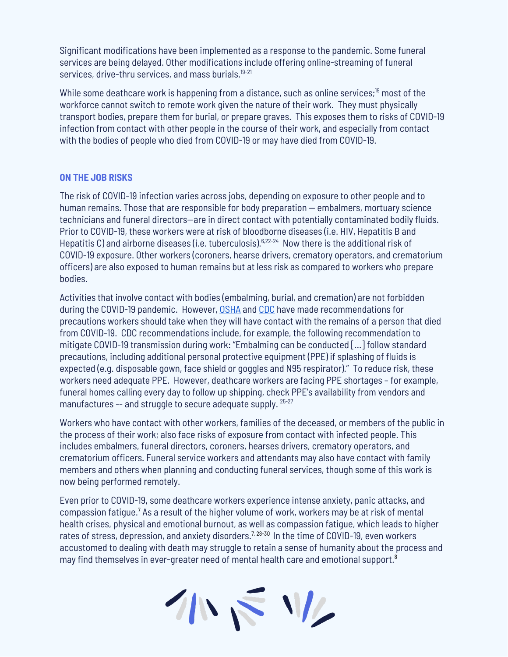Significant modifications have been implemented as a response to the pandemic. Some funeral services are being delayed. Other modifications include offering online-streaming of funeral services, drive-thru services, and mass burials.<sup>19-21</sup>

While some deathcare work is happening from a distance, such as online services; <sup>19</sup> most of the workforce cannot switch to remote work given the nature of their work. They must physically transport bodies, prepare them for burial, or prepare graves. This exposes them to risks of COVID-19 infection from contact with other people in the course of their work, and especially from contact with the bodies of people who died from COVID-19 or may have died from COVID-19.

#### **ON THE JOB RISKS**

The risk of COVID-19 infection varies across jobs, depending on exposure to other people and to human remains. Those that are responsible for body preparation — embalmers, mortuary science technicians and funeral directors—are in direct contact with potentially contaminated bodily fluids. Prior to COVID-19, these workers were at risk of bloodborne diseases (i.e. HIV, Hepatitis B and Hepatitis C) and airborne diseases (i.e. tuberculosis).<sup>6,22-24</sup> Now there is the additional risk of COVID-19 exposure. Other workers (coroners, hearse drivers, crematory operators, and crematorium officers) are also exposed to human remains but at less risk as compared to workers who prepare bodies.

Activities that involve contact with bodies (embalming, burial, and cremation) are not forbidden during the COVID-19 pandemic. However, [OSHA](https://www.osha.gov/SLTC/covid-19/postmortem-care.html) and [CDC](https://www.cdc.gov/coronavirus/2019-ncov/faq.html#COVID-19-and-Funerals) have made recommendations for precautions workers should take when they will have contact with the remains of a person that died from COVID-19. CDC recommendations include, for example, the following recommendation to mitigate COVID-19 transmission during work: "Embalming can be conducted […] follow standard precautions, including additional personal protective equipment (PPE) if splashing of fluids is expected (e.g. disposable gown, face shield or goggles and N95 respirator)." To reduce risk, these workers need adequate PPE. However, deathcare workers are facing PPE shortages – for example, funeral homes calling every day to follow up shipping, check PPE's availability from vendors and manufactures -- and struggle to secure adequate supply.  $25-27$ 

Workers who have contact with other workers, families of the deceased, or members of the public in the process of their work; also face risks of exposure from contact with infected people. This includes embalmers, funeral directors, coroners, hearses drivers, crematory operators, and crematorium officers. Funeral service workers and attendants may also have contact with family members and others when planning and conducting funeral services, though some of this work is now being performed remotely.

Even prior to COVID-19, some deathcare workers experience intense anxiety, panic attacks, and compassion fatigue.<sup>7</sup> As a result of the higher volume of work, workers may be at risk of mental health crises, physical and emotional burnout, as well as compassion fatigue, which leads to higher rates of stress, depression, and anxiety disorders.<sup>7, 28-30</sup> In the time of COVID-19, even workers accustomed to dealing with death may struggle to retain a sense of humanity about the process and may find themselves in ever-greater need of mental health care and emotional support. $^8$ 

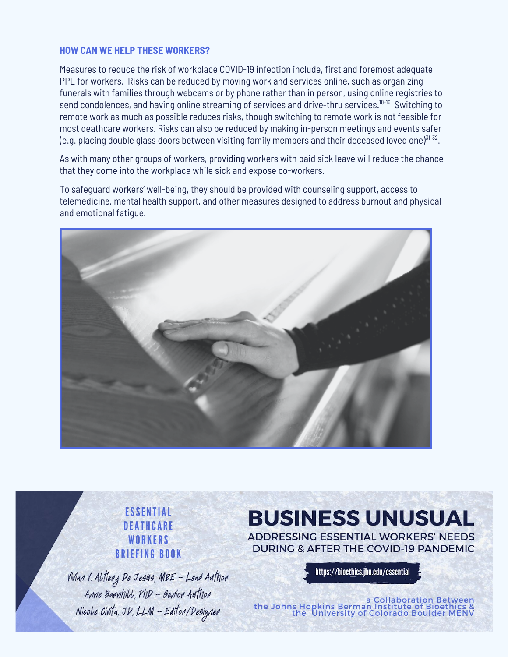#### **HOW CAN WE HELP THESE WORKERS?**

Measures to reduce the risk of workplace COVID-19 infection include, first and foremost adequate PPE for workers. Risks can be reduced by moving work and services online, such as organizing funerals with families through webcams or by phone rather than in person, using online registries to send condolences, and having online streaming of services and drive-thru services. 18-19 Switching to remote work as much as possible reduces risks, though switching to remote work is not feasible for most deathcare workers. Risks can also be reduced by making in-person meetings and events safer (e.g. placing double glass doors between visiting family members and their deceased loved one) $^{31\text{-}32}.$ 

As with many other groups of workers, providing workers with paid sick leave will reduce the chance that they come into the workplace while sick and expose co-workers.

To safeguard workers' well-being, they should be provided with counseling support, access to telemedicine, mental health support, and other measures designed to address burnout and physical and emotional fatigue.



**ESSENTIAL** DEATHCARE WORKERS **BRIEFING BOOK** 

Vivian V. Altiery De Jesus, MBE - Lead Author Anne Bannhill, PhD - Senior Author Nicole Civita, JD, LLM - Editor/Designer

## **BUSINESS UNUSUAL**

**ADDRESSING ESSENTIAL WORKERS' NEEDS DURING & AFTER THE COVID-19 PANDEMIC** 

https://bioethics.jhu.edu/essential

a Collaboration Between<br>& the Johns Hopkins Berman Institute of Bioethics<br>the University of Colorado Boulder MENV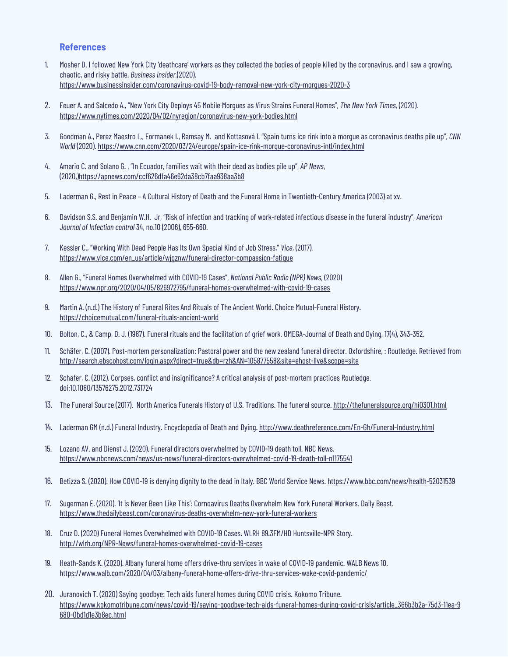#### **References**

- 1. Mosher D. I followed New York City 'deathcare' workers as they collected the bodies of people killed by the coronavirus, and I saw a growing, chaotic, and risky battle. *Business insider.*(2020). https://www.businessinsider.com/coronavirus-covid-19-body-removal-new-york-city-morgues-2020-3
- 2. Feuer A. and Salcedo A., "New York City Deploys 45 Mobile Morgues as Virus Strains Funeral Homes", *The New York Times*, (2020). https://www.nytimes.com/2020/04/02/nyregion/coronavirus-new-york-bodies.html
- 3. Goodman A., Perez Maestro L., Formanek I., Ramsay M. and Kottasová I. "Spain turns ice rink into a morgue as coronavirus deaths pile up", *CNN World* (2020). https://www.cnn.com/2020/03/24/europe/spain-ice-rink-morgue-coronavirus-intl/index.html
- 4. Amario C. and Solano G. , "In Ecuador, families wait with their dead as bodies pile up", *AP News*, (2020,[\)https://apnews.com/ccf626dfa46e62da38cb7faa938aa3b8](https://apnews.com/ccf626dfa46e62da38cb7faa938aa3b8)
- 5. Laderman G., Rest in Peace A Cultural History of Death and the Funeral Home in Twentieth-Century America (2003) at xv.
- 6. Davidson S.S. and Benjamin W.H. Jr, "Risk of infection and tracking of work-related infectious disease in the funeral industry", *American Journal of Infection control* 34, no.10 (2006), 655-660.
- 7. Kessler C., "Working With Dead People Has Its Own Special Kind of Job Stress," *Vice*, (2017). https://www.vice.com/en\_us/article/wjgznw/funeral-director-compassion-fatigue
- 8. Allen G., "Funeral Homes Overwhelmed with COVID-19 Cases", *National Public Radio (NPR) News*, (2020) <https://www.npr.org/2020/04/05/826972795/funeral-homes-overwhelmed-with-covid-19-cases>
- 9. Martin A. (n.d.) The History of Funeral Rites And Rituals of The Ancient World. Choice Mutual-Funeral History. https://choicemutual.com/funeral-rituals-ancient-world
- 10. Bolton, C., & Camp, D. J. (1987). Funeral rituals and the facilitation of grief work. OMEGA-Journal of Death and Dying, 17(4), 343-352.
- 11. Schäfer, C. (2007). Post-mortem personalization: Pastoral power and the new zealand funeral director. Oxfordshire, : Routledge. Retrieved from <http://search.ebscohost.com/login.aspx?direct=true&db=rzh&AN=105877558&site=ehost-live&scope=site>
- 12. Schafer, C. (2012). Corpses, conflict and insignificance? A critical analysis of post-mortem practices Routledge. doi:10.1080/13576275.2012.731724
- 13. The Funeral Source (2017). North America Funerals History of U.S. Traditions. The funeral source. http://thefuneralsource.org/hi0301.html
- 14. Laderman GM (n.d.) Funeral Industry. Encyclopedia of Death and Dying. http://www.deathreference.com/En-Gh/Funeral-Industry.html
- 15. Lozano AV. and Dienst J. (2020). Funeral directors overwhelmed by COVID-19 death toll. NBC News. https://www.nbcnews.com/news/us-news/funeral-directors-overwhelmed-covid-19-death-toll-n1175541
- 16. Betizza S. (2020). How COVID-19 is denying dignity to the dead in Italy. BBC World Service News. https://www.bbc.com/news/health-52031539
- 17. Sugerman E. (2020). 'It is Never Been Like This': Cornoavirus Deaths Overwhelm New York Funeral Workers. Daily Beast. https://www.thedailybeast.com/coronavirus-deaths-overwhelm-new-york-funeral-workers
- 18. Cruz D. (2020) Funeral Homes Overwhelmed with COVID-19 Cases. WLRH 89.3FM/HD Huntsville-NPR Story. http://wlrh.org/NPR-News/funeral-homes-overwhelmed-covid-19-cases
- 19. Heath-Sands K. (2020). Albany funeral home offers drive-thru services in wake of COVID-19 pandemic. WALB News 10. https://www.walb.com/2020/04/03/albany-funeral-home-offers-drive-thru-services-wake-covid-pandemic/
- 20. Juranovich T. (2020) Saying goodbye: Tech aids funeral homes during COVID crisis. Kokomo Tribune. https://www.kokomotribune.com/news/covid-19/saying-goodbye-tech-aids-funeral-homes-during-covid-crisis/article\_366b3b2a-75d3-11ea-9 680-0bd1d1e3b8ec.html